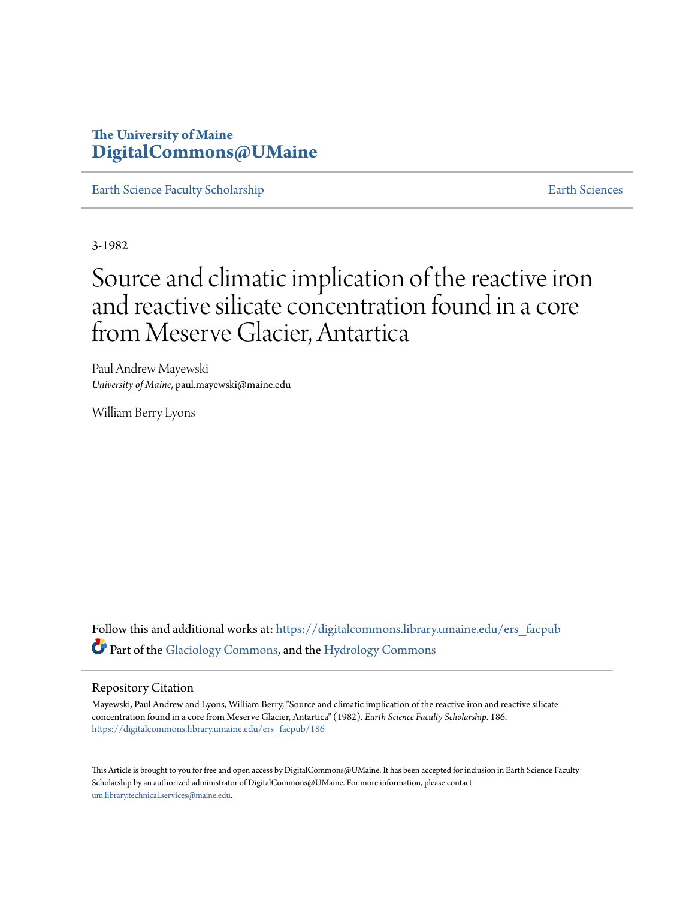# **The University of Maine [DigitalCommons@UMaine](https://digitalcommons.library.umaine.edu?utm_source=digitalcommons.library.umaine.edu%2Fers_facpub%2F186&utm_medium=PDF&utm_campaign=PDFCoverPages)**

[Earth Science Faculty Scholarship](https://digitalcommons.library.umaine.edu/ers_facpub?utm_source=digitalcommons.library.umaine.edu%2Fers_facpub%2F186&utm_medium=PDF&utm_campaign=PDFCoverPages) **[Earth Sciences](https://digitalcommons.library.umaine.edu/ers?utm_source=digitalcommons.library.umaine.edu%2Fers_facpub%2F186&utm_medium=PDF&utm_campaign=PDFCoverPages)** 

3-1982

# Source and climatic implication of the reactive iron and reactive silicate concentration found in a core from Meserve Glacier, Antartica

Paul Andrew Mayewski *University of Maine*, paul.mayewski@maine.edu

William Berry Lyons

Follow this and additional works at: [https://digitalcommons.library.umaine.edu/ers\\_facpub](https://digitalcommons.library.umaine.edu/ers_facpub?utm_source=digitalcommons.library.umaine.edu%2Fers_facpub%2F186&utm_medium=PDF&utm_campaign=PDFCoverPages) Part of the [Glaciology Commons,](http://network.bepress.com/hgg/discipline/159?utm_source=digitalcommons.library.umaine.edu%2Fers_facpub%2F186&utm_medium=PDF&utm_campaign=PDFCoverPages) and the [Hydrology Commons](http://network.bepress.com/hgg/discipline/1054?utm_source=digitalcommons.library.umaine.edu%2Fers_facpub%2F186&utm_medium=PDF&utm_campaign=PDFCoverPages)

# Repository Citation

Mayewski, Paul Andrew and Lyons, William Berry, "Source and climatic implication of the reactive iron and reactive silicate concentration found in a core from Meserve Glacier, Antartica" (1982). *Earth Science Faculty Scholarship*. 186. [https://digitalcommons.library.umaine.edu/ers\\_facpub/186](https://digitalcommons.library.umaine.edu/ers_facpub/186?utm_source=digitalcommons.library.umaine.edu%2Fers_facpub%2F186&utm_medium=PDF&utm_campaign=PDFCoverPages)

This Article is brought to you for free and open access by DigitalCommons@UMaine. It has been accepted for inclusion in Earth Science Faculty Scholarship by an authorized administrator of DigitalCommons@UMaine. For more information, please contact [um.library.technical.services@maine.edu](mailto:um.library.technical.services@maine.edu).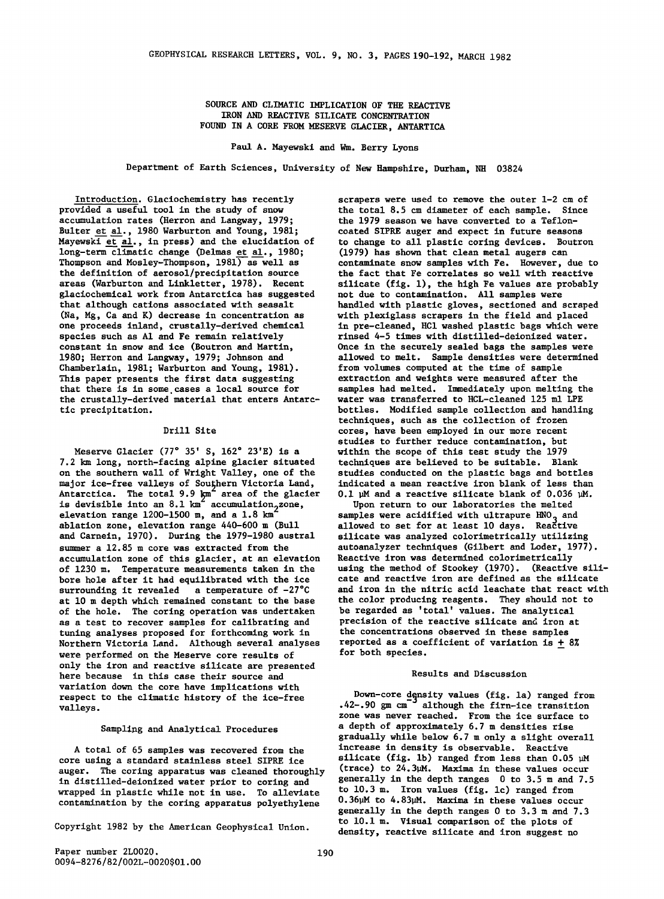**SOURCE AND CLIMATIC IMPLICATION OF THE REACTIVE IRON AND REACTIVE SILICATE CONCENTRATION FOUND IN A CORE FROM MESERVE GLACIER, ANTARTICA** 

**Paul A. Mayewski and Wm. Berry Lyons** 

**Department of Earth Sciences, University of New Hampshire, Durham, NH 03824** 

**Introduction. Glaciochemistry has recently provided a useful tool in the study of snow accumulation rates (Herron and Langway, 1979; Bulter et al., 1980 Warburton and Young, 1981; Mayewski et al., in press) and the elucidation of long-term climatic change (Delmas et al., 1980; Thompson and Mosley-Thompson, 1981) as well as the definition of aerosol/precipitation source areas (Warburton and Linkletter, 1978). Recent glaciochemical work from Antarctica has suggested that although cations associated with seasalt (Na, Mg, Ca and K) decrease in concentration as one proceeds inland, crustally-derived chemical species such as A1 and Fe remain relatively constant in snow and ice (Boutron and Martin, 1980; Herron and Langway, 1979; Johnson and Chamberlain, 1981; Warburton and Young, 1981). This paper presents the first data suggesting that there is in some. cases a local source for**  the crustally-derived material that enters Antarc-<br>tic precipitation.

# **Drill Site**

Meserve Glacier (77° 35' S, 162° 23'E) is a **7.2 km long, north-facing alpine glacier situated on the southern wall of Wright Valley, one of the**  major ice-free valleys of Southern Victoria Land, indicated a mean reactive iron blank of less than  $\text{Antarctica.}$  The total 9.9 km area of the glacier 0.1  $\text{M}$  and a reactive silicate blank of 0.036  $\text{M}$ . is devisible into an 8.1 km accumulation<sub>2</sub>zone, and the upon return to our laboratories the melted is dependent<br>elevation range 1200-1500 m, and a 1.8 km in samples were acidified with ultrapure HNO<sub>A</sub> and **ablation zone, elevation range 440-600 m (Bull allowed to set for at least 10 days. Reactive**  and Carnein, 1970). During the 1979-1980 austral summer a 12.85 m core was extracted from the accumulation zone of this glacier, at an elevation **of 1230 m. Temperature measurements taken in the bore hole after it had equilibrated with the ice surrounding it revealed a temperature of -27•C at 10 m depth which remained constant to the base of the hole. The coring operation was undertaken as a test to recover samples for calibrating and tuning analyses proposed for forthcoming work in were performed on the Meserve core results of only the iron and reactive silicate are presented here because in this case their source and variation down the core have implications with respect to the climatic history of the ice-free valleys.** 

#### **Sampling and Analytical Procedures**

**A total of 65 samples was recovered from the**  core using a standard stainless steel SIPRE ice silicate (fig. 1b) ranged from less than 0.05  $\mu$ M annor. The coring annaratus was cleaned thoroughly (trace) to 24.3 $\mu$ M. Maxima in these values occur auger. The coring apparatus was cleaned thoroughly (trace) to 24.3µM. Maxima in these values occur<br>In distilled-deionized water prior to coring and appendix in the depth ranges 0 to 3.5 m and 7.5 in distilled-deionized water prior to coring and<br>wrapped in plastic while not in use. To alleviate to 10.3 m. Iron values (fig. 1c) ranged from **wrapped in plastic while not in use.** To alleviate  $\frac{10 \text{ J0.3 m}}{200 \text{ J0}}$ . Iron values (fig. 1c) ranged from contamination by the coring apparatus polygible 0.36 $\mu$ M to 4.83 $\mu$ M. Maxima in these values occur contamination by the coring apparatus polyethylene

**scrapers were used to remove the outer 1-2 cm of the total 8.5 cm diameter of each sample. Since the 1979 season we have converted to a Tefloncoated SIPRE auger and expect in future seasons to change to all plastic coring devices. Boutron (1979) has shown that clean metal augers can contaminate snow samples with Fe. However, due to the fact that Fe correlates so well with reactive silicate (fig. 1), the high Fe values are probably not due to contamination. All samples were handled with plastic gloves, sectioned and scraped with plexiglass scrapers in the field and placed in pre-cleaned, HC1 washed plastic bags which were rinsed 4-5 times with distilled-deionized water. Once in the securely sealed bags the samples were allowed to melt. Sample densities were determined from volumes computed at the time of sample extraction and weights were measured after the samples had melted. Immediately upon melting the**  bottles. Modified sample collection and handling **techniques, such as the collection of frozen cores, have been employed in our more recent studies to further reduce contamination, but within the scope of this test study the 1979 techniques are believed to be suitable. Blank studies conducted on the plastic bags and bottles** 

autoanalyzer techniques (Gilbert and Loder, 1977).<br>Reactive iron was determined colorimetrically **using the method of Stookey (1970). (Reactive silicate and reactive iron are defined as the silicate and iron in the nitric acid leachate that react with the color producing reagents. They should not to be regarded as 'total' values. The analytical precision of the reactive silicate and iron at the concentrations observed in these samples**  reported as a coefficient of variation is  $\pm$  8% **for both species.** 

#### **Results and Discussion**

**Down-core density values (fig. la) ranged from .42-.90 gm cm -• although the firn-ice transition zone was never reached. From the ice surface to a depth of approximately 6.7 m densities rise gradually while below 6.7 m only a slight overall increase in density is observable. Reactive generally in the depth ranges 0 to 3.3 m and 7.3 to 10.1 m. Visual comparison of the plots of Copyright 1982 by the American Geophysical Union. density, reactive silicate and iron suggest no**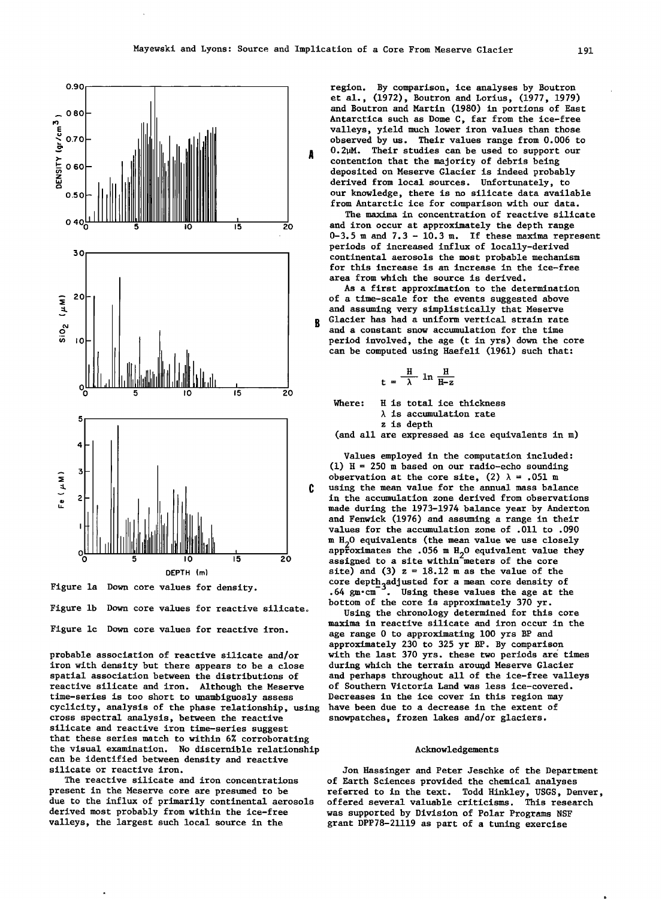$\overline{\mathbf{R}}$ 



**Figure la Down core values for density.** 

Figure 1b Down core values for reactive silicate. **Figure lc Down core values for reactive iron.** 

**probable association of reactive silicate and/or iron with density but there appears to be a close spatial association between the distributions of reactive silicate and iron. Although the Meserve time-series is too short to unambiguosly assess**  cyclicity, analysis of the phase relationship, using **cross spectral analysis, between the reactive silicate and reactive iron time-series suggest that these series match to within 6% corroborating the visual examination. No discernible relationship can be identified between density and reactive silicate or reactive iron.** 

**The reactive silicate and iron concentrations present in the Meserve core are presumed to be**  derived most probably from within the ice-free was supported by Division of Polar Programs NSF<br>valleys, the largest such local source in the **paramet DPP78-21119** as part of a tuning exercise

**region. By comparison, ice analyses by Boutron et al., (1972), Boutron and Lorius, (1977, 1979) and Boutron and Martin (1980) in portions of East Antarctica such as Dome C, far from the ice-free valleys, yield much lower iron values than those observed by us. Their values range from 0.006 to 0.2•M. Their studies can be used to support our contention that the majority of debris being deposited on Meserve Glacier is indeed probably derived from local sources. Unfortunately, to our knowledge, there is no silicate data available from Antarctic ice for comparison with our data.** 

**The maxima in concentration of reactive silicate and iron occur at approximately the depth range 0-3.5 m and 7.3 - 10.3 m. If these maxima represent periods of increased influx of locally-derived continental aerosols the most probable mechanism for this increase is an increase in the ice-free area from which the source is derived.** 

**As a first approximation to the determination of a time-scale for the events suggested above and assuming very simplistically that Meserve Glacier has had a uniform vertical strain rate and a constant snow accumulation for the time period involved, the age (t in yrs) down the core can be computed using Haefeli (1961) such that:** 

$$
t = \frac{H}{\lambda} \ln \frac{H}{H-z}
$$

**Where: H is total ice thickness % is accumulation rate** 

**z is depth** 

**(and all are expressed as ice equivalents in m)** 

**Values employed in the computation included: (1) H = 250 m based on our radio-echo sounding**  observation at the core site,  $(2) \lambda = .051$  m **using the mean value for the annual mass balance in the accumulation zone derived from observations made during the 1973-1974 balance year by Anderton and Fenwick (1976) and assuming a range in their values for the accumulation zone of .011 to .090 m H20 equivalents (the mean value we use closely approximates the .056 m H•O equivalent value they assigned to a site within meters of the core**  site) and  $(3)$   $z = 18.12$  m as the value of the core deptn<sub>3</sub>adjusted for a mean core density of core is allowed the age at the **b bottom of the core is approximately 370 yr.** 

**Using the chronology determined for this core maxima in reactive silicate and iron occur in the age range 0 to approximating 100 yrs BP and approximately 230 to 325 yr BP. By comparison with the last 370 yrs. these two periods are times during which the terrain around Meserve Glacier and perhaps throughout all of the ice-free valleys of Southern Victoria Land was less ice-covered. Decreases in the ice cover in this region may snowpatches, frozen lakes and/or glaciers.** 

# **Acknowledgements**

**Jon Hassinger and Peter Jeschke of the Department of Earth Sciences provided the chemical analyses referred to in the text. Todd Hinkley, USGS, Denver, due to the influx of primarily continental aerosols offered several valuable criticisms. This research**  grant DPP78-21119 as part of a tuning exercise